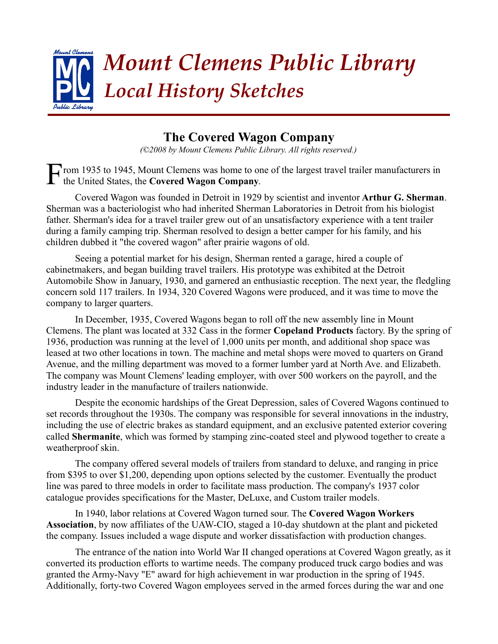

## **The Covered Wagon Company**

*(©2008 by Mount Clemens Public Library. All rights reserved.)*

rom 1935 to 1945, Mount Clemens was home to one of the largest travel trailer manufacturers in Fthe United States, the **Covered Wagon Company**.

Covered Wagon was founded in Detroit in 1929 by scientist and inventor **Arthur G. Sherman**. Sherman was a bacteriologist who had inherited Sherman Laboratories in Detroit from his biologist father. Sherman's idea for a travel trailer grew out of an unsatisfactory experience with a tent trailer during a family camping trip. Sherman resolved to design a better camper for his family, and his children dubbed it "the covered wagon" after prairie wagons of old.

Seeing a potential market for his design, Sherman rented a garage, hired a couple of cabinetmakers, and began building travel trailers. His prototype was exhibited at the Detroit Automobile Show in January, 1930, and garnered an enthusiastic reception. The next year, the fledgling concern sold 117 trailers. In 1934, 320 Covered Wagons were produced, and it was time to move the company to larger quarters.

In December, 1935, Covered Wagons began to roll off the new assembly line in Mount Clemens. The plant was located at 332 Cass in the former **Copeland Products** factory. By the spring of 1936, production was running at the level of 1,000 units per month, and additional shop space was leased at two other locations in town. The machine and metal shops were moved to quarters on Grand Avenue, and the milling department was moved to a former lumber yard at North Ave. and Elizabeth. The company was Mount Clemens' leading employer, with over 500 workers on the payroll, and the industry leader in the manufacture of trailers nationwide.

Despite the economic hardships of the Great Depression, sales of Covered Wagons continued to set records throughout the 1930s. The company was responsible for several innovations in the industry, including the use of electric brakes as standard equipment, and an exclusive patented exterior covering called **Shermanite**, which was formed by stamping zinc-coated steel and plywood together to create a weatherproof skin.

The company offered several models of trailers from standard to deluxe, and ranging in price from \$395 to over \$1,200, depending upon options selected by the customer. Eventually the product line was pared to three models in order to facilitate mass production. The company's 1937 color catalogue provides specifications for the Master, DeLuxe, and Custom trailer models.

In 1940, labor relations at Covered Wagon turned sour. The **Covered Wagon Workers Association**, by now affiliates of the UAW-CIO, staged a 10-day shutdown at the plant and picketed the company. Issues included a wage dispute and worker dissatisfaction with production changes.

The entrance of the nation into World War II changed operations at Covered Wagon greatly, as it converted its production efforts to wartime needs. The company produced truck cargo bodies and was granted the Army-Navy "E" award for high achievement in war production in the spring of 1945. Additionally, forty-two Covered Wagon employees served in the armed forces during the war and one